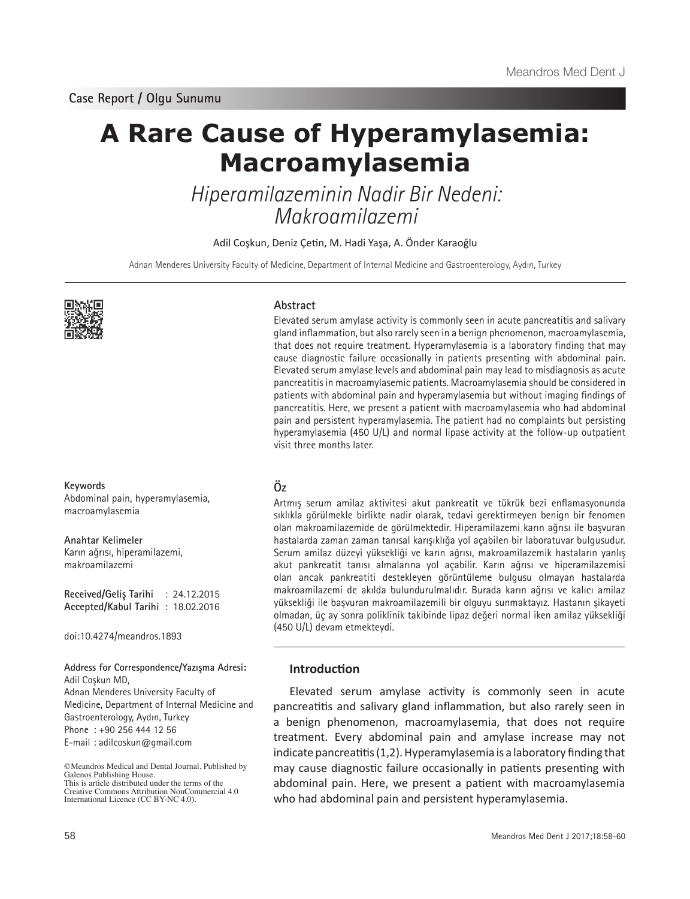# **A Rare Cause of Hyperamylasemia: Macroamylasemia**

Hiperamilazeminin Nadir Bir Nedeni: Makroamilazemi

Adil Coşkun, Deniz Çetin, M. Hadi Yaşa, A. Önder Karaoğlu

Adnan Menderes University Faculty of Medicine, Department of Internal Medicine and Gastroenterology, Aydın, Turkey



**Keywords** Abdominal pain, hyperamylasemia, macroamylasemia

**Anahtar Kelimeler** Karın ağrısı, hiperamilazemi, makroamilazemi

**Received/Geliş Tarihi** : 24.12.2015 **Accepted/Kabul Tarihi** : 18.02.2016

doi:10.4274/meandros.1893

**Address for Correspondence/Yazışma Adresi:** Adil Coşkun MD,

Adnan Menderes University Faculty of Medicine, Department of Internal Medicine and Gastroenterology, Aydın, Turkey Phone : +90 256 444 12 56 E-mail : adilcoskun@gmail.com

©Meandros Medical and Dental Journal, Published by Galenos Publishing House. This is article distributed under the terms of the

Creative Commons Attribution NonCommercial 4.0 International Licence (CC BY-NC 4.0).

## **Abstract**

Elevated serum amylase activity is commonly seen in acute pancreatitis and salivary gland inflammation, but also rarely seen in a benign phenomenon, macroamylasemia, that does not require treatment. Hyperamylasemia is a laboratory finding that may cause diagnostic failure occasionally in patients presenting with abdominal pain. Elevated serum amylase levels and abdominal pain may lead to misdiagnosis as acute pancreatitis in macroamylasemic patients. Macroamylasemia should be considered in patients with abdominal pain and hyperamylasemia but without imaging findings of pancreatitis. Here, we present a patient with macroamylasemia who had abdominal pain and persistent hyperamylasemia. The patient had no complaints but persisting hyperamylasemia (450 U/L) and normal lipase activity at the follow-up outpatient visit three months later.

# **Öz**

Artmış serum amilaz aktivitesi akut pankreatit ve tükrük bezi enflamasyonunda sıklıkla görülmekle birlikte nadir olarak, tedavi gerektirmeyen benign bir fenomen olan makroamilazemide de görülmektedir. Hiperamilazemi karın ağrısı ile başvuran hastalarda zaman zaman tanısal karışıklığa yol açabilen bir laboratuvar bulgusudur. Serum amilaz düzeyi yüksekliği ve karın ağrısı, makroamilazemik hastaların yanlış akut pankreatit tanısı almalarına yol açabilir. Karın ağrısı ve hiperamilazemisi olan ancak pankreatiti destekleyen görüntüleme bulgusu olmayan hastalarda makroamilazemi de akılda bulundurulmalıdır. Burada karın ağrısı ve kalıcı amilaz yüksekliği ile başvuran makroamilazemili bir olguyu sunmaktayız. Hastanın şikayeti olmadan, üç ay sonra poliklinik takibinde lipaz değeri normal iken amilaz yüksekliği (450 U/L) devam etmekteydi.

# **Introduction**

Elevated serum amylase activity is commonly seen in acute pancreatitis and salivary gland inflammation, but also rarely seen in a benign phenomenon, macroamylasemia, that does not require treatment. Every abdominal pain and amylase increase may not indicate pancreatitis (1,2). Hyperamylasemia is a laboratory finding that may cause diagnostic failure occasionally in patients presenting with abdominal pain. Here, we present a patient with macroamylasemia who had abdominal pain and persistent hyperamylasemia.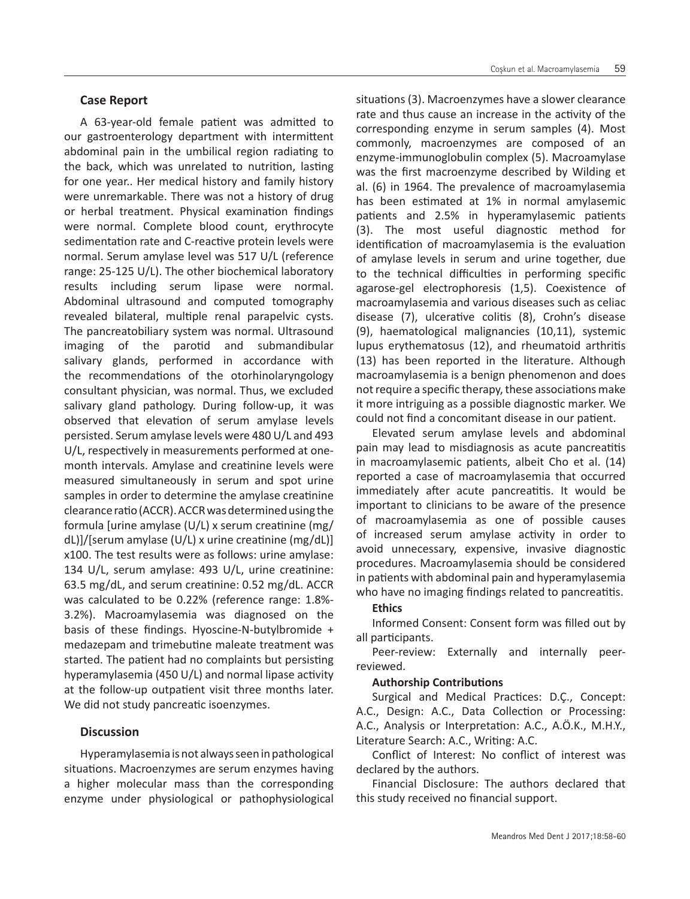A 63-year-old female patient was admitted to our gastroenterology department with intermittent abdominal pain in the umbilical region radiating to the back, which was unrelated to nutrition, lasting for one year.. Her medical history and family history were unremarkable. There was not a history of drug or herbal treatment. Physical examination findings were normal. Complete blood count, erythrocyte sedimentation rate and C-reactive protein levels were normal. Serum amylase level was 517 U/L (reference range: 25-125 U/L). The other biochemical laboratory results including serum lipase were normal. Abdominal ultrasound and computed tomography revealed bilateral, multiple renal parapelvic cysts. The pancreatobiliary system was normal. Ultrasound imaging of the parotid and submandibular salivary glands, performed in accordance with the recommendations of the otorhinolaryngology consultant physician, was normal. Thus, we excluded salivary gland pathology. During follow-up, it was observed that elevation of serum amylase levels persisted. Serum amylase levels were 480 U/L and 493 U/L, respectively in measurements performed at onemonth intervals. Amylase and creatinine levels were measured simultaneously in serum and spot urine samples in order to determine the amylase creatinine clearance ratio (ACCR). ACCR was determined using the formula [urine amylase (U/L) x serum creatinine (mg/ dL)]/[serum amylase (U/L) x urine creatinine (mg/dL)] x100. The test results were as follows: urine amylase: 134 U/L, serum amylase: 493 U/L, urine creatinine: 63.5 mg/dL, and serum creatinine: 0.52 mg/dL. ACCR was calculated to be 0.22% (reference range: 1.8%- 3.2%). Macroamylasemia was diagnosed on the basis of these findings. Hyoscine-N-butylbromide + medazepam and trimebutine maleate treatment was started. The patient had no complaints but persisting hyperamylasemia (450 U/L) and normal lipase activity at the follow-up outpatient visit three months later. We did not study pancreatic isoenzymes.

## **Discussion**

Hyperamylasemia is not always seen in pathological situations. Macroenzymes are serum enzymes having a higher molecular mass than the corresponding enzyme under physiological or pathophysiological situations (3). Macroenzymes have a slower clearance rate and thus cause an increase in the activity of the corresponding enzyme in serum samples (4). Most commonly, macroenzymes are composed of an enzyme-immunoglobulin complex (5). Macroamylase was the first macroenzyme described by Wilding et al. (6) in 1964. The prevalence of macroamylasemia has been estimated at 1% in normal amylasemic patients and 2.5% in hyperamylasemic patients (3). The most useful diagnostic method for identification of macroamylasemia is the evaluation of amylase levels in serum and urine together, due to the technical difficulties in performing specific agarose-gel electrophoresis (1,5). Coexistence of macroamylasemia and various diseases such as celiac disease (7), ulcerative colitis (8), Crohn's disease (9), haematological malignancies (10,11), systemic lupus erythematosus (12), and rheumatoid arthritis (13) has been reported in the literature. Although macroamylasemia is a benign phenomenon and does not require a specific therapy, these associations make it more intriguing as a possible diagnostic marker. We could not find a concomitant disease in our patient.

Elevated serum amylase levels and abdominal pain may lead to misdiagnosis as acute pancreatitis in macroamylasemic patients, albeit Cho et al. (14) reported a case of macroamylasemia that occurred immediately after acute pancreatitis. It would be important to clinicians to be aware of the presence of macroamylasemia as one of possible causes of increased serum amylase activity in order to avoid unnecessary, expensive, invasive diagnostic procedures. Macroamylasemia should be considered in patients with abdominal pain and hyperamylasemia who have no imaging findings related to pancreatitis.

### **Ethics**

Informed Consent: Consent form was filled out by all participants.

Peer-review: Externally and internally peerreviewed.

### **Authorship Contributions**

Surgical and Medical Practices: D.Ç., Concept: A.C., Design: A.C., Data Collection or Processing: A.C., Analysis or Interpretation: A.C., A.Ö.K., M.H.Y., Literature Search: A.C., Writing: A.C.

Conflict of Interest: No conflict of interest was declared by the authors.

Financial Disclosure: The authors declared that this study received no financial support.